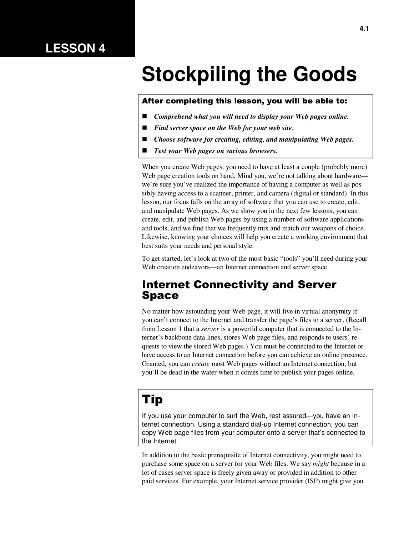# **LESSON 4**

# **Stockpiling the Goods**

### After completing this lesson, you will be able to:

- *Comprehend what you will need to display your Web pages online.*
- *Find server space on the Web for your web site.*
- *Choose software for creating, editing, and manipulating Web pages.*
- *Test your Web pages on various browsers.*

When you create Web pages, you need to have at least a couple (probably more) Web page creation tools on hand. Mind you, we're not talking about hardware we're sure you've realized the importance of having a computer as well as possibly having access to a scanner, printer, and camera (digital or standard). In this lesson, our focus falls on the array of software that you can use to create, edit, and manipulate Web pages. As we show you in the next few lessons, you can create, edit, and publish Web pages by using a number of software applications and tools, and we find that we frequently mix and match our weapons of choice. Likewise, knowing your choices will help you create a working environment that best suits your needs and personal style.

To get started, let's look at two of the most basic "tools" you'll need during your Web creation endeavors—an Internet connection and server space.

## Internet Connectivity and Server Space

No matter how astounding your Web page, it will live in virtual anonymity if you can't connect to the Internet and transfer the page's files to a server. (Recall from Lesson 1 that a *server* is a powerful computer that is connected to the Internet's backbone data lines, stores Web page files, and responds to users' requests to view the stored Web pages.) You must be connected to the Internet or have access to an Internet connection before you can achieve an online presence. Granted, you can *create* most Web pages without an Internet connection, but you'll be dead in the water when it comes time to publish your pages online.

# Tip

If you use your computer to surf the Web, rest assured—you have an Internet connection. Using a standard dial-up Internet connection, you can copy Web page files from your computer onto a server that's connected to the Internet.

In addition to the basic prerequisite of Internet connectivity, you might need to purchase some space on a server for your Web files. We say *might* because in a lot of cases server space is freely given away or provided in addition to other paid services. For example, your Internet service provider (ISP) might give you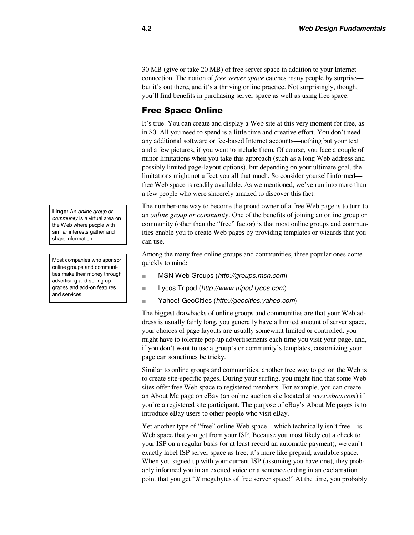30 MB (give or take 20 MB) of free server space in addition to your Internet connection. The notion of *free server space* catches many people by surprise but it's out there, and it's a thriving online practice. Not surprisingly, though, you'll find benefits in purchasing server space as well as using free space.

### Free Space Online

It's true. You can create and display a Web site at this very moment for free, as in \$0. All you need to spend is a little time and creative effort. You don't need any additional software or fee-based Internet accounts—nothing but your text and a few pictures, if you want to include them. Of course, you face a couple of minor limitations when you take this approach (such as a long Web address and possibly limited page-layout options), but depending on your ultimate goal, the limitations might not affect you all that much. So consider yourself informed free Web space is readily available. As we mentioned, we've run into more than a few people who were sincerely amazed to discover this fact.

The number-one way to become the proud owner of a free Web page is to turn to an *online group or community*. One of the benefits of joining an online group or community (other than the "free" factor) is that most online groups and communities enable you to create Web pages by providing templates or wizards that you can use.

Among the many free online groups and communities, three popular ones come quickly to mind:

- MSN Web Groups (*http://groups.msn.com*)
- Lycos Tripod (*http://www.tripod.lycos.com*)
- Yahoo! GeoCities (*http://geocities.yahoo.com*)

The biggest drawbacks of online groups and communities are that your Web address is usually fairly long, you generally have a limited amount of server space, your choices of page layouts are usually somewhat limited or controlled, you might have to tolerate pop-up advertisements each time you visit your page, and, if you don't want to use a group's or community's templates, customizing your page can sometimes be tricky.

Similar to online groups and communities, another free way to get on the Web is to create site-specific pages. During your surfing, you might find that some Web sites offer free Web space to registered members. For example, you can create an About Me page on eBay (an online auction site located at *www.ebay.com*) if you're a registered site participant. The purpose of eBay's About Me pages is to introduce eBay users to other people who visit eBay.

Yet another type of "free" online Web space—which technically isn't free—is Web space that you get from your ISP. Because you most likely cut a check to your ISP on a regular basis (or at least record an automatic payment), we can't exactly label ISP server space as free; it's more like prepaid, available space. When you signed up with your current ISP (assuming you have one), they probably informed you in an excited voice or a sentence ending in an exclamation point that you get "*X* megabytes of free server space!" At the time, you probably

**Lingo:** An *online group or community* is a virtual area on the Web where people with similar interests gather and share information.

Most companies who sponsor online groups and communities make their money through advertising and selling upgrades and add-on features and services.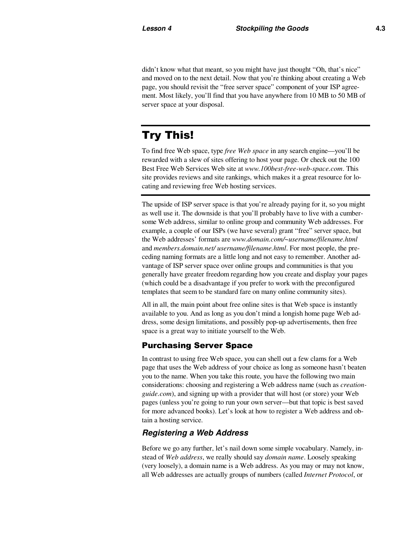didn't know what that meant, so you might have just thought "Oh, that's nice" and moved on to the next detail. Now that you're thinking about creating a Web page, you should revisit the "free server space" component of your ISP agreement. Most likely, you'll find that you have anywhere from 10 MB to 50 MB of server space at your disposal.

# Try This!

To find free Web space, type *free Web space* in any search engine—you'll be rewarded with a slew of sites offering to host your page. Or check out the 100 Best Free Web Services Web site at *www.100best-free-web-space.com*. This site provides reviews and site rankings, which makes it a great resource for locating and reviewing free Web hosting services.

The upside of ISP server space is that you're already paying for it, so you might as well use it. The downside is that you'll probably have to live with a cumbersome Web address, similar to online group and community Web addresses. For example, a couple of our ISPs (we have several) grant "free" server space, but the Web addresses' formats are *www.domain.com/~username/filename.html* and *members.domain.net/ username/filename.html*. For most people, the preceding naming formats are a little long and not easy to remember. Another advantage of ISP server space over online groups and communities is that you generally have greater freedom regarding how you create and display your pages (which could be a disadvantage if you prefer to work with the preconfigured templates that seem to be standard fare on many online community sites).

All in all, the main point about free online sites is that Web space is instantly available to you. And as long as you don't mind a longish home page Web address, some design limitations, and possibly pop-up advertisements, then free space is a great way to initiate yourself to the Web.

### Purchasing Server Space

In contrast to using free Web space, you can shell out a few clams for a Web page that uses the Web address of your choice as long as someone hasn't beaten you to the name. When you take this route, you have the following two main considerations: choosing and registering a Web address name (such as *creationguide.com*), and signing up with a provider that will host (or store) your Web pages (unless you're going to run your own server—but that topic is best saved for more advanced books). Let's look at how to register a Web address and obtain a hosting service.

### **Registering a Web Address**

Before we go any further, let's nail down some simple vocabulary. Namely, instead of *Web address*, we really should say *domain name*. Loosely speaking (very loosely), a domain name is a Web address. As you may or may not know, all Web addresses are actually groups of numbers (called *Internet Protocol*, or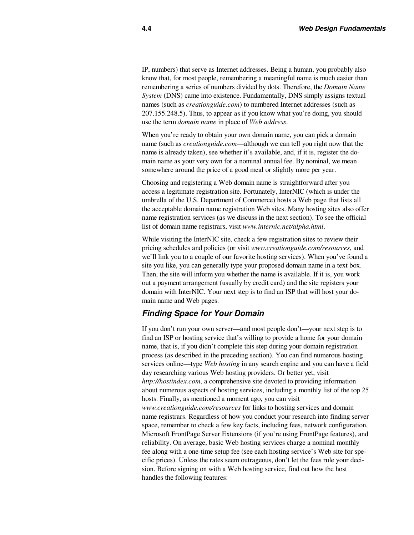IP, numbers) that serve as Internet addresses. Being a human, you probably also know that, for most people, remembering a meaningful name is much easier than remembering a series of numbers divided by dots. Therefore, the *Domain Name System* (DNS) came into existence. Fundamentally, DNS simply assigns textual names (such as *creationguide.com*) to numbered Internet addresses (such as 207.155.248.5). Thus, to appear as if you know what you're doing, you should use the term *domain name* in place of *Web address*.

When you're ready to obtain your own domain name, you can pick a domain name (such as *creationguide.com*—although we can tell you right now that the name is already taken), see whether it's available, and, if it is, register the domain name as your very own for a nominal annual fee. By nominal, we mean somewhere around the price of a good meal or slightly more per year.

Choosing and registering a Web domain name is straightforward after you access a legitimate registration site. Fortunately, InterNIC (which is under the umbrella of the U.S. Department of Commerce) hosts a Web page that lists all the acceptable domain name registration Web sites. Many hosting sites also offer name registration services (as we discuss in the next section). To see the official list of domain name registrars, visit *www.internic.net/alpha.html*.

While visiting the InterNIC site, check a few registration sites to review their pricing schedules and policies (or visit *www.creationguide.com/resources*, and we'll link you to a couple of our favorite hosting services). When you've found a site you like, you can generally type your proposed domain name in a text box. Then, the site will inform you whether the name is available. If it is, you work out a payment arrangement (usually by credit card) and the site registers your domain with InterNIC. Your next step is to find an ISP that will host your domain name and Web pages.

### **Finding Space for Your Domain**

If you don't run your own server—and most people don't—your next step is to find an ISP or hosting service that's willing to provide a home for your domain name, that is, if you didn't complete this step during your domain registration process (as described in the preceding section). You can find numerous hosting services online—type *Web hosting* in any search engine and you can have a field day researching various Web hosting providers. Or better yet, visit *http://hostindex.com*, a comprehensive site devoted to providing information about numerous aspects of hosting services, including a monthly list of the top 25 hosts. Finally, as mentioned a moment ago, you can visit *www.creationguide.com/resources* for links to hosting services and domain name registrars. Regardless of how you conduct your research into finding server space, remember to check a few key facts, including fees, network configuration, Microsoft FrontPage Server Extensions (if you're using FrontPage features), and reliability. On average, basic Web hosting services charge a nominal monthly fee along with a one-time setup fee (see each hosting service's Web site for specific prices). Unless the rates seem outrageous, don't let the fees rule your decision. Before signing on with a Web hosting service, find out how the host handles the following features: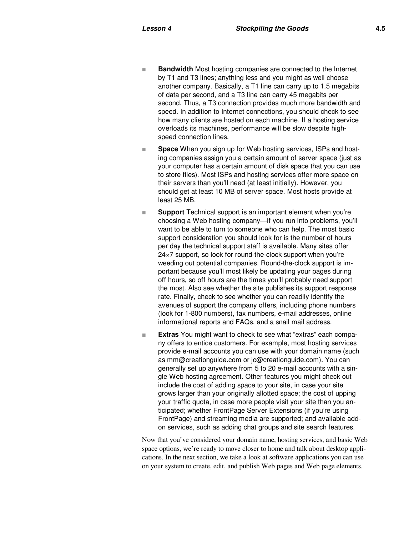- **Bandwidth** Most hosting companies are connected to the Internet by T1 and T3 lines; anything less and you might as well choose another company. Basically, a T1 line can carry up to 1.5 megabits of data per second, and a T3 line can carry 45 megabits per second. Thus, a T3 connection provides much more bandwidth and speed. In addition to Internet connections, you should check to see how many clients are hosted on each machine. If a hosting service overloads its machines, performance will be slow despite highspeed connection lines.
- **Space** When you sign up for Web hosting services, ISPs and hosting companies assign you a certain amount of server space (just as your computer has a certain amount of disk space that you can use to store files). Most ISPs and hosting services offer more space on their servers than you'll need (at least initially). However, you should get at least 10 MB of server space. Most hosts provide at least 25 MB.
- **Support** Technical support is an important element when you're choosing a Web hosting company—if you run into problems, you'll want to be able to turn to someone who can help. The most basic support consideration you should look for is the number of hours per day the technical support staff is available. Many sites offer 24×7 support, so look for round-the-clock support when you're weeding out potential companies. Round-the-clock support is important because you'll most likely be updating your pages during off hours, so off hours are the times you'll probably need support the most. Also see whether the site publishes its support response rate. Finally, check to see whether you can readily identify the avenues of support the company offers, including phone numbers (look for 1-800 numbers), fax numbers, e-mail addresses, online informational reports and FAQs, and a snail mail address.
- **Extras** You might want to check to see what "extras" each company offers to entice customers. For example, most hosting services provide e-mail accounts you can use with your domain name (such as mm@creationguide.com or jc@creationguide.com). You can generally set up anywhere from 5 to 20 e-mail accounts with a single Web hosting agreement. Other features you might check out include the cost of adding space to your site, in case your site grows larger than your originally allotted space; the cost of upping your traffic quota, in case more people visit your site than you anticipated; whether FrontPage Server Extensions (if you're using FrontPage) and streaming media are supported; and available addon services, such as adding chat groups and site search features.

Now that you've considered your domain name, hosting services, and basic Web space options, we're ready to move closer to home and talk about desktop applications. In the next section, we take a look at software applications you can use on your system to create, edit, and publish Web pages and Web page elements.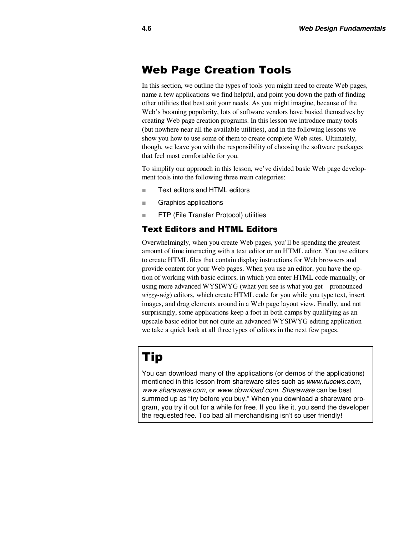# Web Page Creation Tools

In this section, we outline the types of tools you might need to create Web pages, name a few applications we find helpful, and point you down the path of finding other utilities that best suit your needs. As you might imagine, because of the Web's booming popularity, lots of software vendors have busied themselves by creating Web page creation programs. In this lesson we introduce many tools (but nowhere near all the available utilities), and in the following lessons we show you how to use some of them to create complete Web sites. Ultimately, though, we leave you with the responsibility of choosing the software packages that feel most comfortable for you.

To simplify our approach in this lesson, we've divided basic Web page development tools into the following three main categories:

- Text editors and HTML editors
- Graphics applications
- FTP (File Transfer Protocol) utilities

### Text Editors and HTML Editors

Overwhelmingly, when you create Web pages, you'll be spending the greatest amount of time interacting with a text editor or an HTML editor. You use editors to create HTML files that contain display instructions for Web browsers and provide content for your Web pages. When you use an editor, you have the option of working with basic editors, in which you enter HTML code manually, or using more advanced WYSIWYG (what you see is what you get—pronounced *wizzy-wig*) editors, which create HTML code for you while you type text, insert images, and drag elements around in a Web page layout view. Finally, and not surprisingly, some applications keep a foot in both camps by qualifying as an upscale basic editor but not quite an advanced WYSIWYG editing application we take a quick look at all three types of editors in the next few pages.

# Tip

You can download many of the applications (or demos of the applications) mentioned in this lesson from shareware sites such as *www.tucows.com*, *www.shareware.com*, or *www.download.com*. *Shareware* can be best summed up as "try before you buy." When you download a shareware program, you try it out for a while for free. If you like it, you send the developer the requested fee. Too bad all merchandising isn't so user friendly!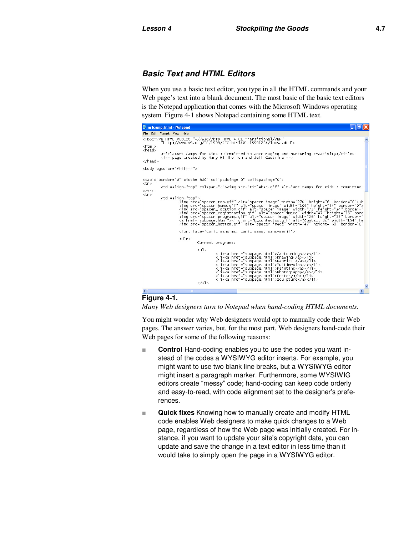### **Basic Text and HTML Editors**

When you use a basic text editor, you type in all the HTML commands and your Web page's text into a blank document. The most basic of the basic text editors is the Notepad application that comes with the Microsoft Windows operating system. Figure 4-1 shows Notepad containing some HTML text.

|                                      | artcamp.html - Notepad                                                                                                                                                                                                                                                                                                                                                                                                                                                                                                                                                                                                                                                                                                                                                                                                                                                                            |                                                                                                                                                                                                                                                                                                                                                                                                                                                                                                                                                                                                                                                                                                                                                                                                                                                                |  |  |
|--------------------------------------|---------------------------------------------------------------------------------------------------------------------------------------------------------------------------------------------------------------------------------------------------------------------------------------------------------------------------------------------------------------------------------------------------------------------------------------------------------------------------------------------------------------------------------------------------------------------------------------------------------------------------------------------------------------------------------------------------------------------------------------------------------------------------------------------------------------------------------------------------------------------------------------------------|----------------------------------------------------------------------------------------------------------------------------------------------------------------------------------------------------------------------------------------------------------------------------------------------------------------------------------------------------------------------------------------------------------------------------------------------------------------------------------------------------------------------------------------------------------------------------------------------------------------------------------------------------------------------------------------------------------------------------------------------------------------------------------------------------------------------------------------------------------------|--|--|
|                                      | File Edit Format View Help                                                                                                                                                                                                                                                                                                                                                                                                                                                                                                                                                                                                                                                                                                                                                                                                                                                                        |                                                                                                                                                                                                                                                                                                                                                                                                                                                                                                                                                                                                                                                                                                                                                                                                                                                                |  |  |
|                                      | HTML PUBLIC "-//W3C//DTD HTML 4.01 Transitional//EN"<br "http://www.w3.org/TR/1999/REC-html401-19991224/loose.dtd">                                                                                                                                                                                                                                                                                                                                                                                                                                                                                                                                                                                                                                                                                                                                                                               |                                                                                                                                                                                                                                                                                                                                                                                                                                                                                                                                                                                                                                                                                                                                                                                                                                                                |  |  |
| <html><br/><head><br/></head></html> | <title>Art Camps for Kids : Committed to encouraging and nurturing creativity</title><br>page created by Mary Millhollon and Jeff Castrina<br><body bqcolor="#ffffff"></body>                                                                                                                                                                                                                                                                                                                                                                                                                                                                                                                                                                                                                                                                                                                     |                                                                                                                                                                                                                                                                                                                                                                                                                                                                                                                                                                                                                                                                                                                                                                                                                                                                |  |  |
|                                      | <table border="0" cellpadding="0" cellspacing="0" width="600"></table>                                                                                                                                                                                                                                                                                                                                                                                                                                                                                                                                                                                                                                                                                                                                                                                                                            |                                                                                                                                                                                                                                                                                                                                                                                                                                                                                                                                                                                                                                                                                                                                                                                                                                                                |  |  |
| <tr></tr>                            |                                                                                                                                                                                                                                                                                                                                                                                                                                                                                                                                                                                                                                                                                                                                                                                                                                                                                                   |                                                                                                                                                                                                                                                                                                                                                                                                                                                                                                                                                                                                                                                                                                                                                                                                                                                                |  |  |
|                                      |                                                                                                                                                                                                                                                                                                                                                                                                                                                                                                                                                                                                                                                                                                                                                                                                                                                                                                   |                                                                                                                                                                                                                                                                                                                                                                                                                                                                                                                                                                                                                                                                                                                                                                                                                                                                |  |  |
| $\langle$ tr>                        | <td colspan="2" valign="top"><img alt="Art Camps for Kids : Committed *&lt;/td&gt;&lt;td&gt;&lt;/td&gt;&lt;/tr&gt;&lt;tr&gt;&lt;td&gt;&lt;tr&gt;&lt;/td&gt;&lt;td&gt;&lt;td valign=" src="titlebar.gif" top"=""/><br/><imq alt="spacer image" border="0" height="6" src="spacer_top.qif" width="270"><b<br><img alt="spacer image" border="0" height="34" src="spacer_home.gif" width="106"/><br/><img alt="spacer image" bord<br="" border="&lt;br&gt;&lt;img src=" height="36" image"="" spacer_registration.gif"="" src="spacer_location.gif" width="47"/><imq alt="spacer image" border="&lt;br&gt;&lt;a href=" height="35" src="spacer_programs.gif" subpage.html"="" width="26"><imq alt="contact Us" he<br="" src="b_contactus.gif" width="154"><imq <="" alt="spacer image" border="0" height="69" src="spacer_bottom.qif" td="" width="47"><td></td></imq></imq></imq></b<br></imq></td> | <img alt="Art Camps for Kids : Committed *&lt;/td&gt;&lt;td&gt;&lt;/td&gt;&lt;/tr&gt;&lt;tr&gt;&lt;td&gt;&lt;tr&gt;&lt;/td&gt;&lt;td&gt;&lt;td valign=" src="titlebar.gif" top"=""/><br><imq alt="spacer image" border="0" height="6" src="spacer_top.qif" width="270"><b<br><img alt="spacer image" border="0" height="34" src="spacer_home.gif" width="106"/><br/><img alt="spacer image" bord<br="" border="&lt;br&gt;&lt;img src=" height="36" image"="" spacer_registration.gif"="" src="spacer_location.gif" width="47"/><imq alt="spacer image" border="&lt;br&gt;&lt;a href=" height="35" src="spacer_programs.gif" subpage.html"="" width="26"><imq alt="contact Us" he<br="" src="b_contactus.gif" width="154"><imq <="" alt="spacer image" border="0" height="69" src="spacer_bottom.qif" td="" width="47"><td></td></imq></imq></imq></b<br></imq> |  |  |
|                                      | <font face="comic sans ms, comic sans, sans-serif"></font>                                                                                                                                                                                                                                                                                                                                                                                                                                                                                                                                                                                                                                                                                                                                                                                                                                        |                                                                                                                                                                                                                                                                                                                                                                                                                                                                                                                                                                                                                                                                                                                                                                                                                                                                |  |  |
|                                      | <dir><br/>Current programs:<br/>≺u1&gt;<br/><li><a href="subpage.html">Cartooning</a></li></dir>                                                                                                                                                                                                                                                                                                                                                                                                                                                                                                                                                                                                                                                                                                                                                                                                  |                                                                                                                                                                                                                                                                                                                                                                                                                                                                                                                                                                                                                                                                                                                                                                                                                                                                |  |  |
|                                      | <li><a href="subpaqe.html">Drawinq</a></li><br><li><a href="subpage.html">Fabrics </a></li><br><li><a href="subpaqe.html">Multimedia</a></li><br><li><a href="subpage.html">Painting</a></li><br><li><a href="subpage.html">Photography</a></li><br><li><a href="subpage.html">Pottery</a></li><br><li><a href="subpage.html">Sculpture</a></li><br>$\langle$ /ul>                                                                                                                                                                                                                                                                                                                                                                                                                                                                                                                                |                                                                                                                                                                                                                                                                                                                                                                                                                                                                                                                                                                                                                                                                                                                                                                                                                                                                |  |  |
| $\left\langle \right\rangle$         |                                                                                                                                                                                                                                                                                                                                                                                                                                                                                                                                                                                                                                                                                                                                                                                                                                                                                                   |                                                                                                                                                                                                                                                                                                                                                                                                                                                                                                                                                                                                                                                                                                                                                                                                                                                                |  |  |
|                                      | $\rightarrow$<br><b>TILL</b>                                                                                                                                                                                                                                                                                                                                                                                                                                                                                                                                                                                                                                                                                                                                                                                                                                                                      |                                                                                                                                                                                                                                                                                                                                                                                                                                                                                                                                                                                                                                                                                                                                                                                                                                                                |  |  |

### **Figure 4-1.**

*Many Web designers turn to Notepad when hand-coding HTML documents.* 

You might wonder why Web designers would opt to manually code their Web pages. The answer varies, but, for the most part, Web designers hand-code their Web pages for some of the following reasons:

- **Control** Hand-coding enables you to use the codes you want instead of the codes a WYSIWYG editor inserts. For example, you might want to use two blank line breaks, but a WYSIWYG editor might insert a paragraph marker. Furthermore, some WYSIWIG editors create "messy" code; hand-coding can keep code orderly and easy-to-read, with code alignment set to the designer's preferences.
- **Quick fixes** Knowing how to manually create and modify HTML code enables Web designers to make quick changes to a Web page, regardless of how the Web page was initially created. For instance, if you want to update your site's copyright date, you can update and save the change in a text editor in less time than it would take to simply open the page in a WYSIWYG editor.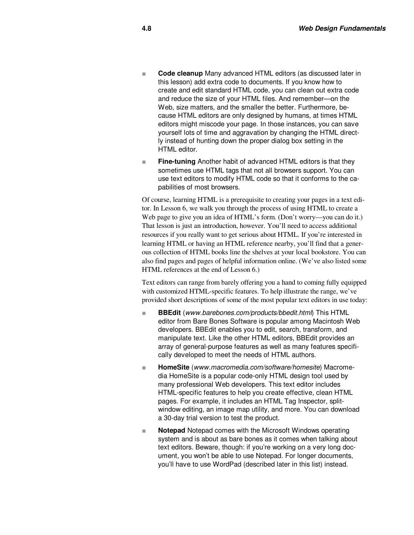- **Code cleanup** Many advanced HTML editors (as discussed later in this lesson) add extra code to documents. If you know how to create and edit standard HTML code, you can clean out extra code and reduce the size of your HTML files. And remember—on the Web, size matters, and the smaller the better. Furthermore, because HTML editors are only designed by humans, at times HTML editors might miscode your page. In those instances, you can save yourself lots of time and aggravation by changing the HTML directly instead of hunting down the proper dialog box setting in the HTML editor.
- **Fine-tuning** Another habit of advanced HTML editors is that they sometimes use HTML tags that not all browsers support. You can use text editors to modify HTML code so that it conforms to the capabilities of most browsers.

Of course, learning HTML is a prerequisite to creating your pages in a text editor. In Lesson 6, we walk you through the process of using HTML to create a Web page to give you an idea of HTML's form. (Don't worry—you can do it.) That lesson is just an introduction, however. You'll need to access additional resources if you really want to get serious about HTML. If you're interested in learning HTML or having an HTML reference nearby, you'll find that a generous collection of HTML books line the shelves at your local bookstore. You can also find pages and pages of helpful information online. (We've also listed some HTML references at the end of Lesson 6.)

Text editors can range from barely offering you a hand to coming fully equipped with customized HTML-specific features. To help illustrate the range, we've provided short descriptions of some of the most popular text editors in use today:

- **BBEdit** (*www.barebones.com/products/bbedit.html*) This HTML editor from Bare Bones Software is popular among Macintosh Web developers. BBEdit enables you to edit, search, transform, and manipulate text. Like the other HTML editors, BBEdit provides an array of general-purpose features as well as many features specifically developed to meet the needs of HTML authors.
- **HomeSite** (*www.macromedia.com/software/homesite*) Macromedia HomeSite is a popular code-only HTML design tool used by many professional Web developers. This text editor includes HTML-specific features to help you create effective, clean HTML pages. For example, it includes an HTML Tag Inspector, splitwindow editing, an image map utility, and more. You can download a 30-day trial version to test the product.
- **Notepad** Notepad comes with the Microsoft Windows operating system and is about as bare bones as it comes when talking about text editors. Beware, though: if you're working on a very long document, you won't be able to use Notepad. For longer documents, you'll have to use WordPad (described later in this list) instead.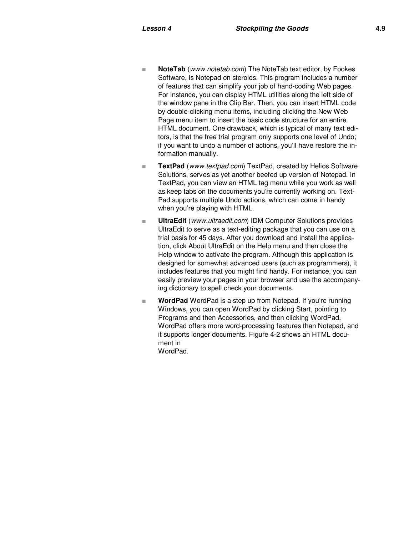- **NoteTab** (*www.notetab.com*) The NoteTab text editor, by Fookes Software, is Notepad on steroids. This program includes a number of features that can simplify your job of hand-coding Web pages. For instance, you can display HTML utilities along the left side of the window pane in the Clip Bar. Then, you can insert HTML code by double-clicking menu items, including clicking the New Web Page menu item to insert the basic code structure for an entire HTML document. One drawback, which is typical of many text editors, is that the free trial program only supports one level of Undo; if you want to undo a number of actions, you'll have restore the information manually.
- **TextPad** (*www.textpad.com*) TextPad, created by Helios Software Solutions, serves as yet another beefed up version of Notepad. In TextPad, you can view an HTML tag menu while you work as well as keep tabs on the documents you're currently working on. Text-Pad supports multiple Undo actions, which can come in handy when you're playing with HTML.
- **UltraEdit** (*www.ultraedit.com*) IDM Computer Solutions provides UltraEdit to serve as a text-editing package that you can use on a trial basis for 45 days. After you download and install the application, click About UltraEdit on the Help menu and then close the Help window to activate the program. Although this application is designed for somewhat advanced users (such as programmers), it includes features that you might find handy. For instance, you can easily preview your pages in your browser and use the accompanying dictionary to spell check your documents.
- **WordPad** WordPad is a step up from Notepad. If you're running Windows, you can open WordPad by clicking Start, pointing to Programs and then Accessories, and then clicking WordPad. WordPad offers more word-processing features than Notepad, and it supports longer documents. Figure 4-2 shows an HTML document in WordPad.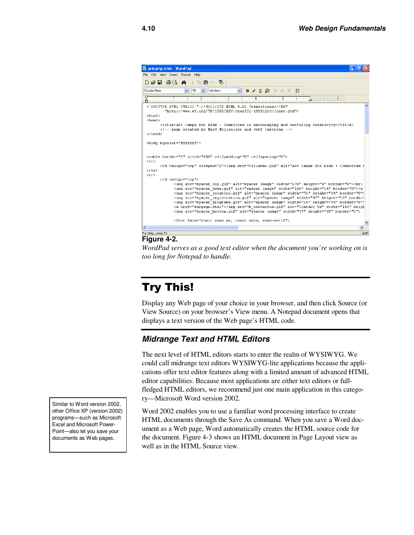

### **Figure 4-2.**

*WordPad serves as a good text editor when the document you're working on is too long for Notepad to handle.* 

# Try This!

Display any Web page of your choice in your browser, and then click Source (or View Source) on your browser's View menu. A Notepad document opens that displays a text version of the Web page's HTML code.

### **Midrange Text and HTML Editors**

The next level of HTML editors starts to enter the realm of WYSIWYG. We could call midrange text editors WYSIWYG-lite applications because the applications offer text editor features along with a limited amount of advanced HTML editor capabilities. Because most applications are either text editors or fullfledged HTML editors, we recommend just one main application in this category—Microsoft Word version 2002.

Word 2002 enables you to use a familiar word processing interface to create HTML documents through the Save As command. When you save a Word document as a Web page, Word automatically creates the HTML source code for the document. Figure 4-3 shows an HTML document in Page Layout view as well as in the HTML Source view.

Similar to Word version 2002, other Office XP (version 2002) programs—such as Microsoft Excel and Microsoft Power-Point—also let you save your documents as Web pages.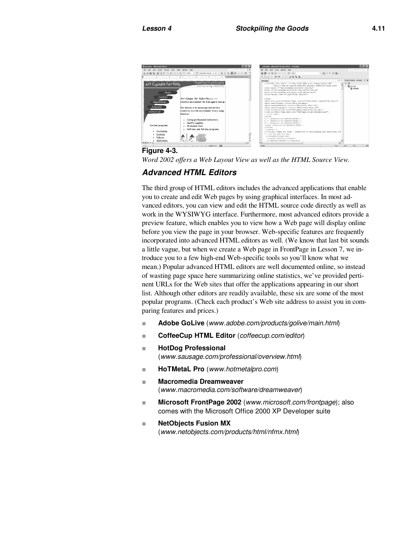

#### **Figure 4-3.**



### **Advanced HTML Editors**

The third group of HTML editors includes the advanced applications that enable you to create and edit Web pages by using graphical interfaces. In most advanced editors, you can view and edit the HTML source code directly as well as work in the WYSIWYG interface. Furthermore, most advanced editors provide a preview feature, which enables you to view how a Web page will display online before you view the page in your browser. Web-specific features are frequently incorporated into advanced HTML editors as well. (We know that last bit sounds a little vague, but when we create a Web page in FrontPage in Lesson 7, we introduce you to a few high-end Web-specific tools so you'll know what we mean.) Popular advanced HTML editors are well documented online, so instead of wasting page space here summarizing online statistics, we've provided pertinent URLs for the Web sites that offer the applications appearing in our short list. Although other editors are readily available, these six are some of the most popular programs. (Check each product's Web site address to assist you in comparing features and prices.)

- **Adobe GoLive** (*www.adobe.com/products/golive/main.html*)
- **CoffeeCup HTML Editor** (*coffeecup.com/editor*)
- **HotDog Professional** (*www.sausage.com/professional/overview.html*)
- **HoTMetaL Pro** (*www.hotmetalpro.com*)
- **Macromedia Dreamweaver** (*www.macromedia.com/software/dreamweaver*)
- **Microsoft FrontPage 2002** (*www.microsoft.com/frontpage*); also comes with the Microsoft Office 2000 XP Developer suite
- **NetObjects Fusion MX** (*www.netobjects.com/products/html/nfmx.html*)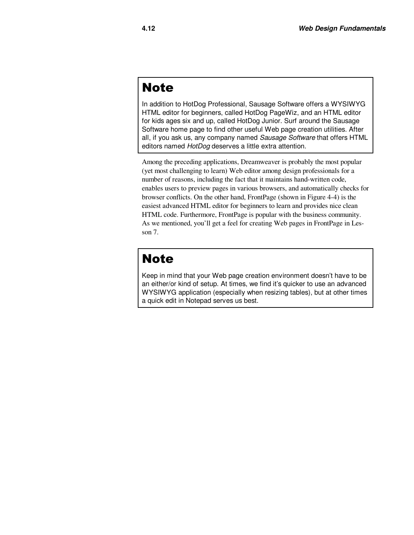# **Note**

In addition to HotDog Professional, Sausage Software offers a WYSIWYG HTML editor for beginners, called HotDog PageWiz, and an HTML editor for kids ages six and up, called HotDog Junior. Surf around the Sausage Software home page to find other useful Web page creation utilities. After all, if you ask us, any company named *Sausage Software* that offers HTML editors named *HotDog* deserves a little extra attention.

Among the preceding applications, Dreamweaver is probably the most popular (yet most challenging to learn) Web editor among design professionals for a number of reasons, including the fact that it maintains hand-written code, enables users to preview pages in various browsers, and automatically checks for browser conflicts. On the other hand, FrontPage (shown in Figure 4-4) is the easiest advanced HTML editor for beginners to learn and provides nice clean HTML code. Furthermore, FrontPage is popular with the business community. As we mentioned, you'll get a feel for creating Web pages in FrontPage in Lesson 7.

# **Note**

Keep in mind that your Web page creation environment doesn't have to be an either/or kind of setup. At times, we find it's quicker to use an advanced WYSIWYG application (especially when resizing tables), but at other times a quick edit in Notepad serves us best.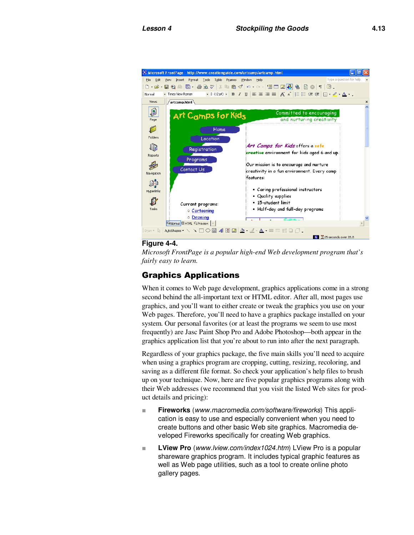

### **Figure 4-4.**

*Microsoft FrontPage is a popular high-end Web development program that's fairly easy to learn.* 

### Graphics Applications

When it comes to Web page development, graphics applications come in a strong second behind the all-important text or HTML editor. After all, most pages use graphics, and you'll want to either create or tweak the graphics you use on your Web pages. Therefore, you'll need to have a graphics package installed on your system. Our personal favorites (or at least the programs we seem to use most frequently) are Jasc Paint Shop Pro and Adobe Photoshop—both appear in the graphics application list that you're about to run into after the next paragraph.

Regardless of your graphics package, the five main skills you'll need to acquire when using a graphics program are cropping, cutting, resizing, recoloring, and saving as a different file format. So check your application's help files to brush up on your technique. Now, here are five popular graphics programs along with their Web addresses (we recommend that you visit the listed Web sites for product details and pricing):

- **Fireworks** (*www.macromedia.com/software/fireworks*) This application is easy to use and especially convenient when you need to create buttons and other basic Web site graphics. Macromedia developed Fireworks specifically for creating Web graphics.
- **LView Pro** (*www.lview.com/index1024.htm*) LView Pro is a popular shareware graphics program. It includes typical graphic features as well as Web page utilities, such as a tool to create online photo gallery pages.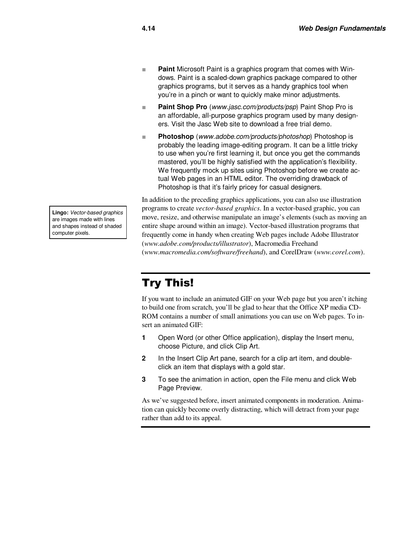- **Paint** Microsoft Paint is a graphics program that comes with Windows. Paint is a scaled-down graphics package compared to other graphics programs, but it serves as a handy graphics tool when you're in a pinch or want to quickly make minor adjustments.
- **Paint Shop Pro** (*www.jasc.com/products/psp*) Paint Shop Pro is an affordable, all-purpose graphics program used by many designers. Visit the Jasc Web site to download a free trial demo.
- **Photoshop** (*www.adobe.com/products/photoshop*) Photoshop is probably the leading image-editing program. It can be a little tricky to use when you're first learning it, but once you get the commands mastered, you'll be highly satisfied with the application's flexibility. We frequently mock up sites using Photoshop before we create actual Web pages in an HTML editor. The overriding drawback of Photoshop is that it's fairly pricey for casual designers.

In addition to the preceding graphics applications, you can also use illustration programs to create *vector-based graphics*. In a vector-based graphic, you can move, resize, and otherwise manipulate an image's elements (such as moving an entire shape around within an image). Vector-based illustration programs that frequently come in handy when creating Web pages include Adobe Illustrator (*www.adobe.com/products/illustrator*), Macromedia Freehand (*www.macromedia.com/software/freehand*), and CorelDraw (*www.corel.com*).

# Try This!

If you want to include an animated GIF on your Web page but you aren't itching to build one from scratch, you'll be glad to hear that the Office XP media CD-ROM contains a number of small animations you can use on Web pages. To insert an animated GIF:

- **1** Open Word (or other Office application), display the Insert menu, choose Picture, and click Clip Art.
- **2** In the Insert Clip Art pane, search for a clip art item, and doubleclick an item that displays with a gold star.
- **3** To see the animation in action, open the File menu and click Web Page Preview.

As we've suggested before, insert animated components in moderation. Animation can quickly become overly distracting, which will detract from your page rather than add to its appeal.

**Lingo:** *Vector-based graphics* are images made with lines and shapes instead of shaded computer pixels.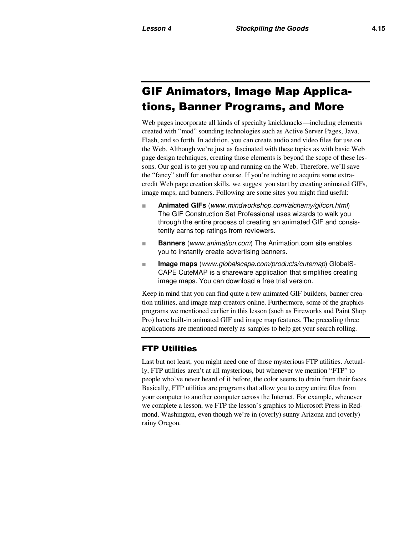# GIF Animators, Image Map Applications, Banner Programs, and More

Web pages incorporate all kinds of specialty knickknacks—including elements created with "mod" sounding technologies such as Active Server Pages, Java, Flash, and so forth. In addition, you can create audio and video files for use on the Web. Although we're just as fascinated with these topics as with basic Web page design techniques, creating those elements is beyond the scope of these lessons. Our goal is to get you up and running on the Web. Therefore, we'll save the "fancy" stuff for another course. If you're itching to acquire some extracredit Web page creation skills, we suggest you start by creating animated GIFs, image maps, and banners. Following are some sites you might find useful:

- **Animated GIFs** (*www.mindworkshop.com/alchemy/gifcon.html*) The GIF Construction Set Professional uses wizards to walk you through the entire process of creating an animated GIF and consistently earns top ratings from reviewers.
- **Banners** (*www.animation.com*) The Animation.com site enables you to instantly create advertising banners.
- **Image maps** (*www.globalscape.com/products/cutemap*) GlobalS-CAPE CuteMAP is a shareware application that simplifies creating image maps. You can download a free trial version.

Keep in mind that you can find quite a few animated GIF builders, banner creation utilities, and image map creators online. Furthermore, some of the graphics programs we mentioned earlier in this lesson (such as Fireworks and Paint Shop Pro) have built-in animated GIF and image map features. The preceding three applications are mentioned merely as samples to help get your search rolling.

### FTP Utilities

Last but not least, you might need one of those mysterious FTP utilities. Actually, FTP utilities aren't at all mysterious, but whenever we mention "FTP" to people who've never heard of it before, the color seems to drain from their faces. Basically, FTP utilities are programs that allow you to copy entire files from your computer to another computer across the Internet. For example, whenever we complete a lesson, we FTP the lesson's graphics to Microsoft Press in Redmond, Washington, even though we're in (overly) sunny Arizona and (overly) rainy Oregon.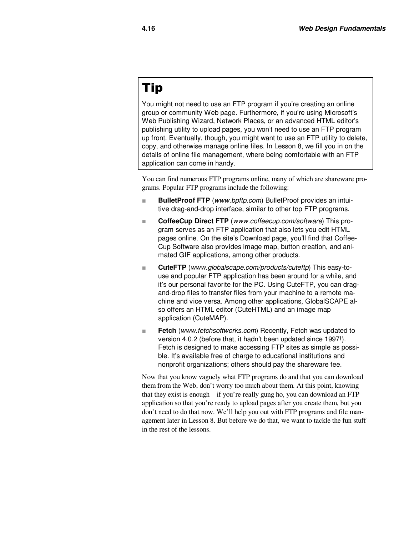# Tip

You might not need to use an FTP program if you're creating an online group or community Web page. Furthermore, if you're using Microsoft's Web Publishing Wizard, Network Places, or an advanced HTML editor's publishing utility to upload pages, you won't need to use an FTP program up front. Eventually, though, you might want to use an FTP utility to delete, copy, and otherwise manage online files. In Lesson 8, we fill you in on the details of online file management, where being comfortable with an FTP application can come in handy.

You can find numerous FTP programs online, many of which are shareware programs. Popular FTP programs include the following:

- **BulletProof FTP** (*www.bpftp.com*) BulletProof provides an intuitive drag-and-drop interface, similar to other top FTP programs.
- **CoffeeCup Direct FTP** (*www.coffeecup.com/software*) This program serves as an FTP application that also lets you edit HTML pages online. On the site's Download page, you'll find that Coffee-Cup Software also provides image map, button creation, and animated GIF applications, among other products.
- **CuteFTP** (*www.globalscape.com/products/cuteftp*) This easy-touse and popular FTP application has been around for a while, and it's our personal favorite for the PC. Using CuteFTP, you can dragand-drop files to transfer files from your machine to a remote machine and vice versa. Among other applications, GlobalSCAPE also offers an HTML editor (CuteHTML) and an image map application (CuteMAP).
- **Fetch** (*www.fetchsoftworks.com*) Recently, Fetch was updated to version 4.0.2 (before that, it hadn't been updated since 1997!). Fetch is designed to make accessing FTP sites as simple as possible. It's available free of charge to educational institutions and nonprofit organizations; others should pay the shareware fee.

Now that you know vaguely what FTP programs do and that you can download them from the Web, don't worry too much about them. At this point, knowing that they exist is enough—if you're really gung ho, you can download an FTP application so that you're ready to upload pages after you create them, but you don't need to do that now. We'll help you out with FTP programs and file management later in Lesson 8. But before we do that, we want to tackle the fun stuff in the rest of the lessons.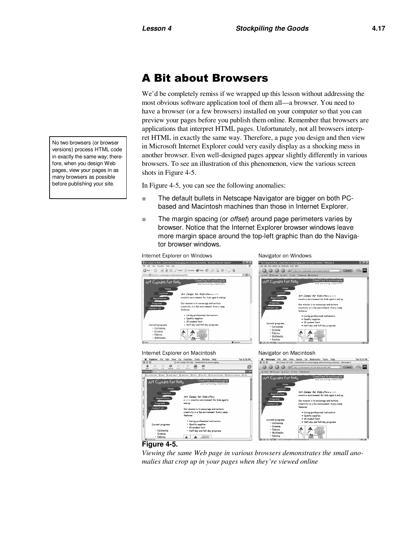# A Bit about Browsers

We'd be completely remiss if we wrapped up this lesson without addressing the most obvious software application tool of them all—a browser. You need to have a browser (or a few browsers) installed on your computer so that you can preview your pages before you publish them online. Remember that browsers are applications that interpret HTML pages. Unfortunately, not all browsers interpret HTML in exactly the same way. Therefore, a page you design and then view in Microsoft Internet Explorer could very easily display as a shocking mess in another browser. Even well-designed pages appear slightly differently in various browsers. To see an illustration of this phenomenon, view the various screen shots in Figure 4-5.

In Figure 4-5, you can see the following anomalies:

- The default bullets in Netscape Navigator are bigger on both PCbased and Macintosh machines than those in Internet Explorer.
- The margin spacing (or *offset*) around page perimeters varies by browser. Notice that the Internet Explorer browser windows leave more margin space around the top-left graphic than do the Navigator browser windows.



#### Internet Explorer on Macintosh





*Viewing the same Web page in various browsers demonstrates the small anomalies that crop up in your pages when they're viewed online* 

No two browsers (or browser versions) process HTML code in exactly the same way; therefore, when you design Web pages, view your pages in as many browsers as possible before publishing your site.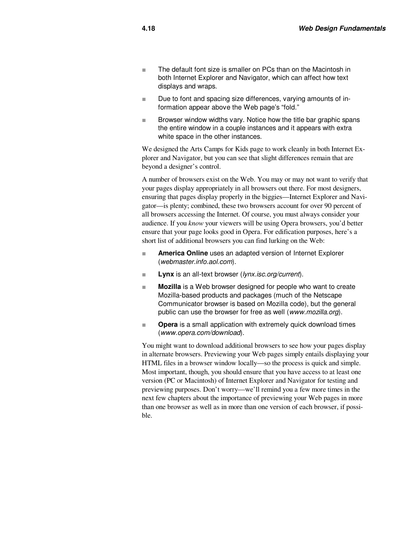- The default font size is smaller on PCs than on the Macintosh in both Internet Explorer and Navigator, which can affect how text displays and wraps.
- Due to font and spacing size differences, varying amounts of information appear above the Web page's "fold."
- Browser window widths vary. Notice how the title bar graphic spans the entire window in a couple instances and it appears with extra white space in the other instances.

We designed the Arts Camps for Kids page to work cleanly in both Internet Explorer and Navigator, but you can see that slight differences remain that are beyond a designer's control.

A number of browsers exist on the Web. You may or may not want to verify that your pages display appropriately in all browsers out there. For most designers, ensuring that pages display properly in the biggies—Internet Explorer and Navigator—is plenty; combined, these two browsers account for over 90 percent of all browsers accessing the Internet. Of course, you must always consider your audience. If you *know* your viewers will be using Opera browsers, you'd better ensure that your page looks good in Opera. For edification purposes, here's a short list of additional browsers you can find lurking on the Web:

- **America Online** uses an adapted version of Internet Explorer (*webmaster.info.aol.com*).
- **Lynx** is an all-text browser (*lynx.isc.org/current*).
- **Mozilla** is a Web browser designed for people who want to create Mozilla-based products and packages (much of the Netscape Communicator browser is based on Mozilla code), but the general public can use the browser for free as well (*www.mozilla.org*).
- **Opera** is a small application with extremely quick download times (*www.opera.com/download*).

You might want to download additional browsers to see how your pages display in alternate browsers. Previewing your Web pages simply entails displaying your HTML files in a browser window locally—so the process is quick and simple. Most important, though, you should ensure that you have access to at least one version (PC or Macintosh) of Internet Explorer and Navigator for testing and previewing purposes. Don't worry—we'll remind you a few more times in the next few chapters about the importance of previewing your Web pages in more than one browser as well as in more than one version of each browser, if possible.